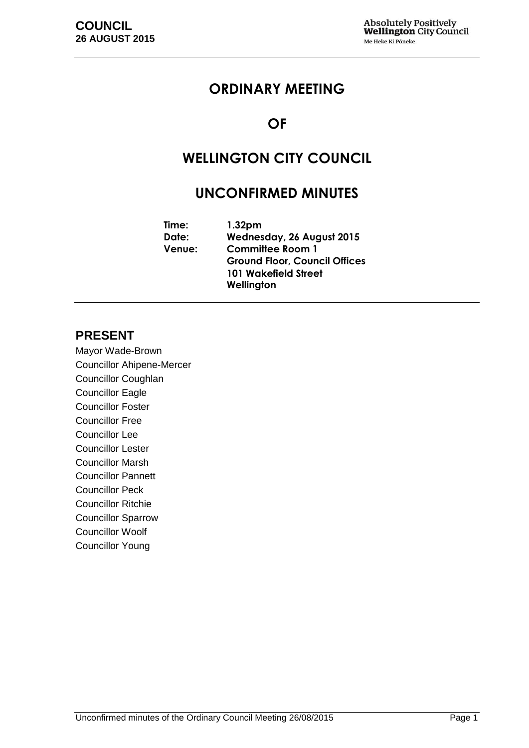## **ORDINARY MEETING**

## **OF**

# **WELLINGTON CITY COUNCIL**

## **UNCONFIRMED MINUTES**

**Time: 1.32pm Date: Wednesday, 26 August 2015 Venue: Committee Room 1 Ground Floor, Council Offices 101 Wakefield Street Wellington**

## **PRESENT**

Mayor Wade-Brown Councillor Ahipene-Mercer Councillor Coughlan Councillor Eagle Councillor Foster Councillor Free Councillor Lee Councillor Lester Councillor Marsh Councillor Pannett Councillor Peck Councillor Ritchie Councillor Sparrow Councillor Woolf Councillor Young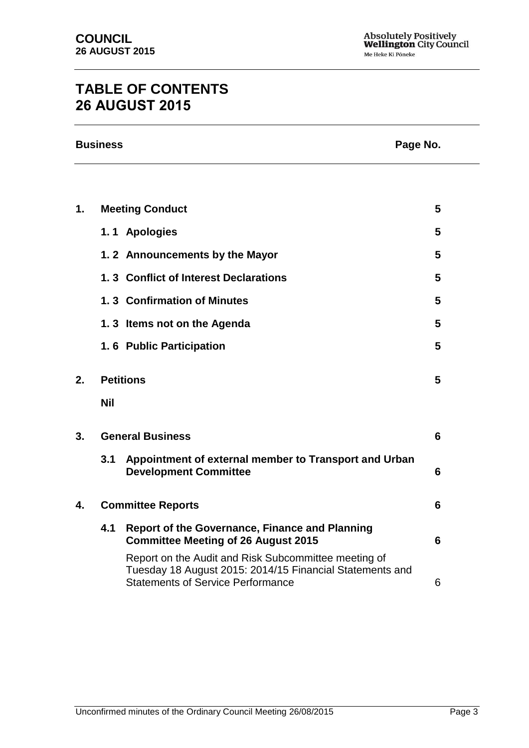# **TABLE OF CONTENTS 26 AUGUST 2015**

|    | <b>Business</b><br>Page No. |                                                                                                                                                              |   |
|----|-----------------------------|--------------------------------------------------------------------------------------------------------------------------------------------------------------|---|
|    |                             |                                                                                                                                                              |   |
| 1. |                             | <b>Meeting Conduct</b>                                                                                                                                       | 5 |
|    |                             | 1.1 Apologies                                                                                                                                                | 5 |
|    |                             | 1.2 Announcements by the Mayor                                                                                                                               | 5 |
|    |                             | 1.3 Conflict of Interest Declarations                                                                                                                        | 5 |
|    |                             | 1.3 Confirmation of Minutes                                                                                                                                  | 5 |
|    |                             | 1.3 Items not on the Agenda                                                                                                                                  | 5 |
|    |                             | 1.6 Public Participation                                                                                                                                     | 5 |
| 2. | <b>Petitions</b>            |                                                                                                                                                              | 5 |
|    | <b>Nil</b>                  |                                                                                                                                                              |   |
| 3. | <b>General Business</b>     |                                                                                                                                                              | 6 |
|    | 3.1                         | Appointment of external member to Transport and Urban<br><b>Development Committee</b>                                                                        | 6 |
| 4. | <b>Committee Reports</b>    |                                                                                                                                                              | 6 |
|    | 4.1                         | <b>Report of the Governance, Finance and Planning</b><br><b>Committee Meeting of 26 August 2015</b>                                                          | 6 |
|    |                             | Report on the Audit and Risk Subcommittee meeting of<br>Tuesday 18 August 2015: 2014/15 Financial Statements and<br><b>Statements of Service Performance</b> | 6 |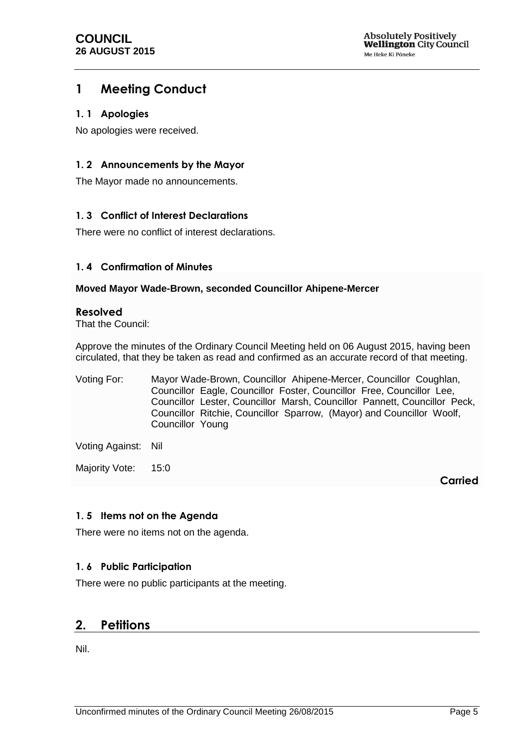## <span id="page-4-0"></span>**1 Meeting Conduct**

#### <span id="page-4-1"></span>**1. 1 Apologies**

No apologies were received.

#### <span id="page-4-2"></span>**1. 2 Announcements by the Mayor**

The Mayor made no announcements.

#### <span id="page-4-3"></span>**1. 3 Conflict of Interest Declarations**

There were no conflict of interest declarations.

#### <span id="page-4-4"></span>**1. 4 Confirmation of Minutes**

#### **Moved Mayor Wade-Brown, seconded Councillor Ahipene-Mercer**

#### **Resolved**

That the Council:

Approve the minutes of the Ordinary Council Meeting held on 06 August 2015, having been circulated, that they be taken as read and confirmed as an accurate record of that meeting.

Voting For: Mayor Wade-Brown, Councillor Ahipene-Mercer, Councillor Coughlan, Councillor Eagle, Councillor Foster, Councillor Free, Councillor Lee, Councillor Lester, Councillor Marsh, Councillor Pannett, Councillor Peck, Councillor Ritchie, Councillor Sparrow, (Mayor) and Councillor Woolf, Councillor Young

Voting Against: Nil

Majority Vote: 15:0

**Carried**

#### <span id="page-4-5"></span>**1. 5 Items not on the Agenda**

There were no items not on the agenda.

#### <span id="page-4-6"></span>**1. 6 Public Participation**

There were no public participants at the meeting.

### <span id="page-4-7"></span>**2. Petitions**

Nil.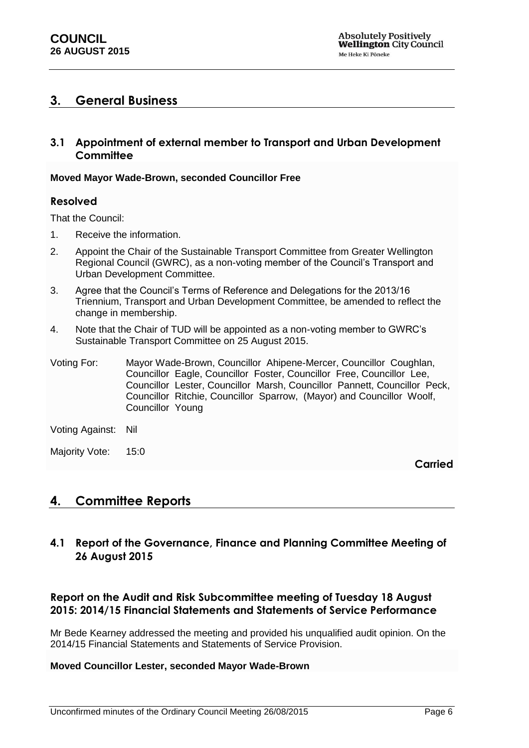### <span id="page-5-0"></span>**3. General Business**

#### <span id="page-5-1"></span>**3.1 Appointment of external member to Transport and Urban Development Committee**

#### **Moved Mayor Wade-Brown, seconded Councillor Free**

#### **Resolved**

That the Council:

- 1. Receive the information.
- 2. Appoint the Chair of the Sustainable Transport Committee from Greater Wellington Regional Council (GWRC), as a non-voting member of the Council's Transport and Urban Development Committee.
- 3. Agree that the Council's Terms of Reference and Delegations for the 2013/16 Triennium, Transport and Urban Development Committee, be amended to reflect the change in membership.
- 4. Note that the Chair of TUD will be appointed as a non-voting member to GWRC's Sustainable Transport Committee on 25 August 2015.

Voting For: Mayor Wade-Brown, Councillor Ahipene-Mercer, Councillor Coughlan, Councillor Eagle, Councillor Foster, Councillor Free, Councillor Lee, Councillor Lester, Councillor Marsh, Councillor Pannett, Councillor Peck, Councillor Ritchie, Councillor Sparrow, (Mayor) and Councillor Woolf, Councillor Young

Voting Against: Nil

Majority Vote: 15:0

**Carried**

### <span id="page-5-2"></span>**4. Committee Reports**

<span id="page-5-3"></span>**4.1 Report of the Governance, Finance and Planning Committee Meeting of 26 August 2015**

### **Report on the Audit and Risk Subcommittee meeting of Tuesday 18 August 2015: 2014/15 Financial Statements and Statements of Service Performance**

Mr Bede Kearney addressed the meeting and provided his unqualified audit opinion. On the 2014/15 Financial Statements and Statements of Service Provision.

#### <span id="page-5-4"></span>**Moved Councillor Lester, seconded Mayor Wade-Brown**